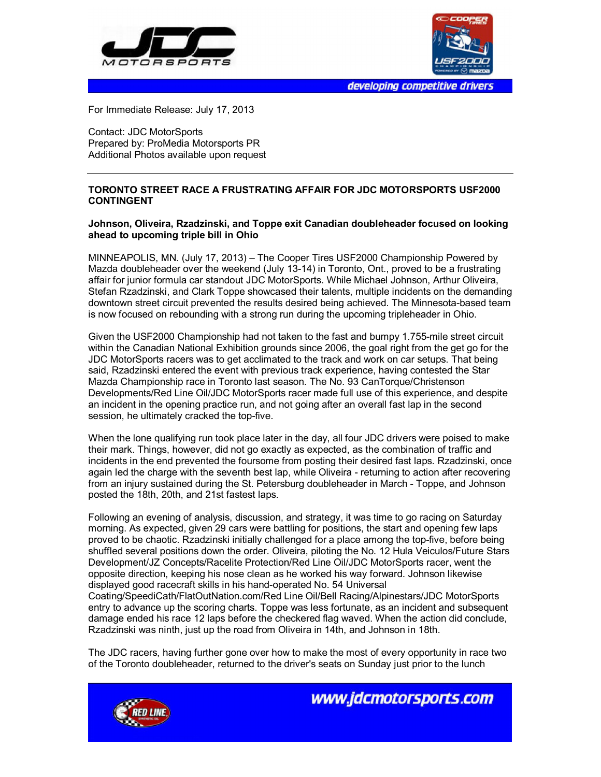



developing competitive drivers

For Immediate Release: July 17, 2013

Contact: JDC MotorSports Prepared by: ProMedia Motorsports PR Additional Photos available upon request

## **TORONTO STREET RACE A FRUSTRATING AFFAIR FOR JDC MOTORSPORTS USF2000 CONTINGENT**

## **Johnson, Oliveira, Rzadzinski, and Toppe exit Canadian doubleheader focused on looking ahead to upcoming triple bill in Ohio**

MINNEAPOLIS, MN. (July 17, 2013) – The Cooper Tires USF2000 Championship Powered by Mazda doubleheader over the weekend (July 13-14) in Toronto, Ont., proved to be a frustrating affair for junior formula car standout JDC MotorSports. While Michael Johnson, Arthur Oliveira, Stefan Rzadzinski, and Clark Toppe showcased their talents, multiple incidents on the demanding downtown street circuit prevented the results desired being achieved. The Minnesota-based team is now focused on rebounding with a strong run during the upcoming tripleheader in Ohio.

Given the USF2000 Championship had not taken to the fast and bumpy 1.755-mile street circuit within the Canadian National Exhibition grounds since 2006, the goal right from the get go for the JDC MotorSports racers was to get acclimated to the track and work on car setups. That being said, Rzadzinski entered the event with previous track experience, having contested the Star Mazda Championship race in Toronto last season. The No. 93 CanTorque/Christenson Developments/Red Line Oil/JDC MotorSports racer made full use of this experience, and despite an incident in the opening practice run, and not going after an overall fast lap in the second session, he ultimately cracked the top-five.

When the lone qualifying run took place later in the day, all four JDC drivers were poised to make their mark. Things, however, did not go exactly as expected, as the combination of traffic and incidents in the end prevented the foursome from posting their desired fast laps. Rzadzinski, once again led the charge with the seventh best lap, while Oliveira - returning to action after recovering from an injury sustained during the St. Petersburg doubleheader in March - Toppe, and Johnson posted the 18th, 20th, and 21st fastest laps.

Following an evening of analysis, discussion, and strategy, it was time to go racing on Saturday morning. As expected, given 29 cars were battling for positions, the start and opening few laps proved to be chaotic. Rzadzinski initially challenged for a place among the top-five, before being shuffled several positions down the order. Oliveira, piloting the No. 12 Hula Veiculos/Future Stars Development/JZ Concepts/Racelite Protection/Red Line Oil/JDC MotorSports racer, went the opposite direction, keeping his nose clean as he worked his way forward. Johnson likewise displayed good racecraft skills in his hand-operated No. 54 Universal Coating/SpeediCath/FlatOutNation.com/Red Line Oil/Bell Racing/Alpinestars/JDC MotorSports entry to advance up the scoring charts. Toppe was less fortunate, as an incident and subsequent damage ended his race 12 laps before the checkered flag waved. When the action did conclude, Rzadzinski was ninth, just up the road from Oliveira in 14th, and Johnson in 18th.

The JDC racers, having further gone over how to make the most of every opportunity in race two of the Toronto doubleheader, returned to the driver's seats on Sunday just prior to the lunch



www.jdcmotorsports.com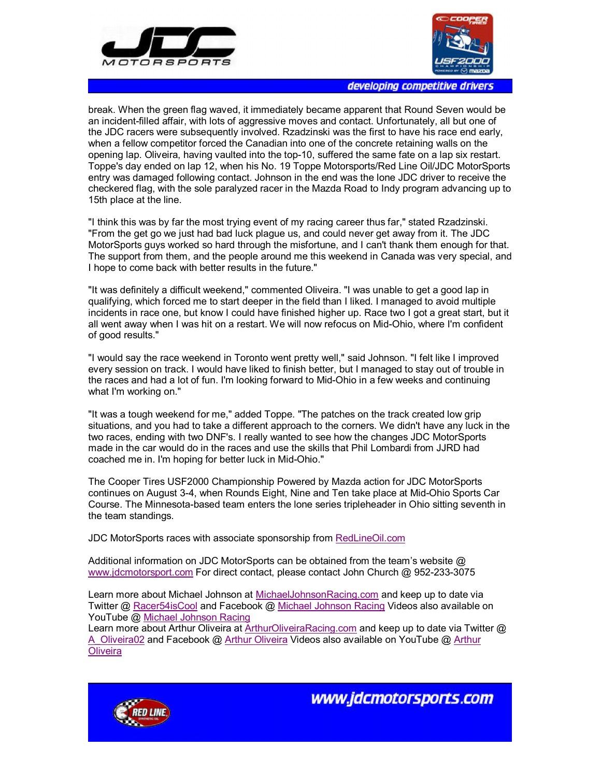



developing competitive drivers

break. When the green flag waved, it immediately became apparent that Round Seven would be an incident-filled affair, with lots of aggressive moves and contact. Unfortunately, all but one of the JDC racers were subsequently involved. Rzadzinski was the first to have his race end early, when a fellow competitor forced the Canadian into one of the concrete retaining walls on the opening lap. Oliveira, having vaulted into the top-10, suffered the same fate on a lap six restart. Toppe's day ended on lap 12, when his No. 19 Toppe Motorsports/Red Line Oil/JDC MotorSports entry was damaged following contact. Johnson in the end was the lone JDC driver to receive the checkered flag, with the sole paralyzed racer in the Mazda Road to Indy program advancing up to 15th place at the line.

"I think this was by far the most trying event of my racing career thus far," stated Rzadzinski. "From the get go we just had bad luck plague us, and could never get away from it. The JDC MotorSports guys worked so hard through the misfortune, and I can't thank them enough for that. The support from them, and the people around me this weekend in Canada was very special, and I hope to come back with better results in the future."

"It was definitely a difficult weekend," commented Oliveira. "I was unable to get a good lap in qualifying, which forced me to start deeper in the field than I liked. I managed to avoid multiple incidents in race one, but know I could have finished higher up. Race two I got a great start, but it all went away when I was hit on a restart. We will now refocus on Mid-Ohio, where I'm confident of good results."

"I would say the race weekend in Toronto went pretty well," said Johnson. "I felt like I improved every session on track. I would have liked to finish better, but I managed to stay out of trouble in the races and had a lot of fun. I'm looking forward to Mid-Ohio in a few weeks and continuing what I'm working on."

"It was a tough weekend for me," added Toppe. "The patches on the track created low grip situations, and you had to take a different approach to the corners. We didn't have any luck in the two races, ending with two DNF's. I really wanted to see how the changes JDC MotorSports made in the car would do in the races and use the skills that Phil Lombardi from JJRD had coached me in. I'm hoping for better luck in Mid-Ohio."

The Cooper Tires USF2000 Championship Powered by Mazda action for JDC MotorSports continues on August 3-4, when Rounds Eight, Nine and Ten take place at Mid-Ohio Sports Car Course. The Minnesota-based team enters the lone series tripleheader in Ohio sitting seventh in the team standings.

JDC MotorSports races with associate sponsorship from RedLineOil.com

Additional information on JDC MotorSports can be obtained from the team's website @ www.jdcmotorsport.com For direct contact, please contact John Church @ 952-233-3075

Learn more about Michael Johnson at MichaelJohnsonRacing.com and keep up to date via Twitter @ Racer54isCool and Facebook @ Michael Johnson Racing Videos also available on YouTube @ Michael Johnson Racing

Learn more about Arthur Oliveira at ArthurOliveiraRacing.com and keep up to date via Twitter @ A Oliveira02 and Facebook @ Arthur Oliveira Videos also available on YouTube @ Arthur **Oliveira** 



www.jdcmotorsports.com